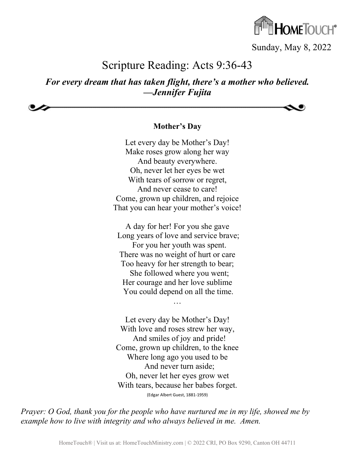

Sunday, May 8, 2022

## Scripture Reading: Acts 9:36-43

### *For every dream that has taken flight, there's a mother who believed. —Jennifer Fujita*

**Mother's Day**

Let every day be Mother's Day! Make roses grow along her way And beauty everywhere. Oh, never let her eyes be wet With tears of sorrow or regret, And never cease to care! Come, grown up children, and rejoice That you can hear your mother's voice!

A day for her! For you she gave Long years of love and service brave; For you her youth was spent. There was no weight of hurt or care Too heavy for her strength to bear; She followed where you went; Her courage and her love sublime You could depend on all the time.

…

Let every day be Mother's Day! With love and roses strew her way, And smiles of joy and pride! Come, grown up children, to the knee Where long ago you used to be And never turn aside; Oh, never let her eyes grow wet With tears, because her babes forget. (Edgar Albert Guest, 1881-1959)

*Prayer: O God, thank you for the people who have nurtured me in my life, showed me by example how to live with integrity and who always believed in me. Amen.*